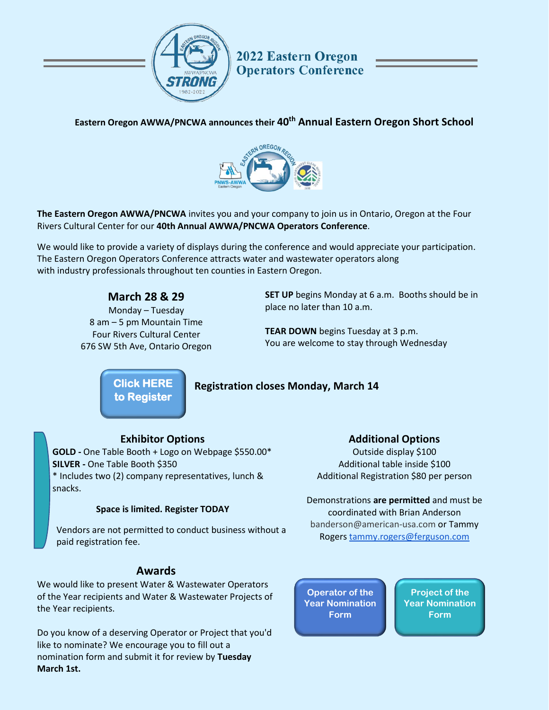

**2022 Eastern Oregon Operators Conference** 

## **Eastern Oregon AWWA/PNCWA announces their 40th Annual Eastern Oregon Short School**



**The Eastern Oregon AWWA/PNCWA** invites you and your company to join us in Ontario, Oregon at the Four Rivers Cultural Center for our **40th Annual AWWA/PNCWA Operators Conference**.

We would like to provide a variety of displays during the conference and would appreciate your participation. The Eastern Oregon Operators Conference attracts water and wastewater operators along with industry professionals throughout ten counties in Eastern Oregon.

## **March 28 & 29**

Monday – Tuesday 8 am – 5 pm Mountain Time Four Rivers Cultural Center 676 SW 5th Ave, Ontario Oregon **SET UP** begins Monday at 6 a.m. Booths should be in place no later than 10 a.m.

**TEAR DOWN** begins Tuesday at 3 p.m. You are welcome to stay through Wednesday

**[Click HERE](https://www.actionreg.com/reg/index.php?client_name=eocc&event_id=152&r_type=Exhibitor&new_reg=1)  to Register** 

## **Registration closes Monday, March 14**

### **Exhibitor Options**

**GOLD -** One Table Booth + Logo on Webpage \$550.00\* **SILVER -** One Table Booth \$350 \* Includes two (2) company representatives, lunch & snacks.

#### **Space is limited. Register TODAY**

Vendors are not permitted to conduct business without a paid registration fee.

### **Awards**

We would like to present Water & Wastewater Operators of the Year recipients and Water & Wastewater Projects of the Year recipients.

Do you know of a deserving Operator or Project that you'd like to nominate? We encourage you to fill out a nomination form and submit it for review by **Tuesday March 1st.**

#### **Additional Options**

Outside display \$100 Additional table inside \$100 Additional Registration \$80 per person

Demonstrations **are permitted** and must be coordinated with Brian Anderson [banderson@american-usa.com](mailto:banderson@american-usa.com) or Tammy Rogers [tammy.rogers@ferguson.com](mailto:tammy.rogers@ferguson.com)

**Operator of the [Year Nomination](https://forms.gle/mNetfv9iXP2bUY7DA)  Form**

**Project of the [Year Nomination](https://forms.gle/ywuUaF98DGddhVeK8) Form**